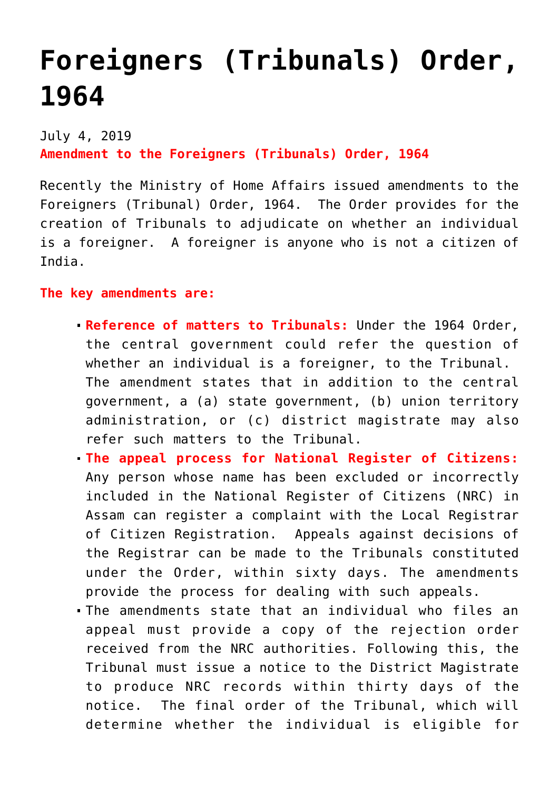## **[Foreigners \(Tribunals\) Order,](https://journalsofindia.com/foreigners-tribunals-order-1964/) [1964](https://journalsofindia.com/foreigners-tribunals-order-1964/)**

July 4, 2019 **Amendment to the Foreigners (Tribunals) Order, 1964**

Recently the Ministry of Home Affairs issued amendments to the Foreigners (Tribunal) Order, 1964. The Order provides for the creation of Tribunals to adjudicate on whether an individual is a foreigner. A foreigner is anyone who is not a citizen of India.

## **The key amendments are:**

- **Reference of matters to Tribunals:** Under the 1964 Order, the central government could refer the question of whether an individual is a foreigner, to the Tribunal. The amendment states that in addition to the central government, a (a) state government, (b) union territory administration, or (c) district magistrate may also refer such matters to the Tribunal.
- **The appeal process for National Register of Citizens:** Any person whose name has been excluded or incorrectly included in the National Register of Citizens (NRC) in Assam can register a complaint with the Local Registrar of Citizen Registration. Appeals against decisions of the Registrar can be made to the Tribunals constituted under the Order, within sixty days. The amendments provide the process for dealing with such appeals.
- The amendments state that an individual who files an appeal must provide a copy of the rejection order received from the NRC authorities. Following this, the Tribunal must issue a notice to the District Magistrate to produce NRC records within thirty days of the notice. The final order of the Tribunal, which will determine whether the individual is eligible for